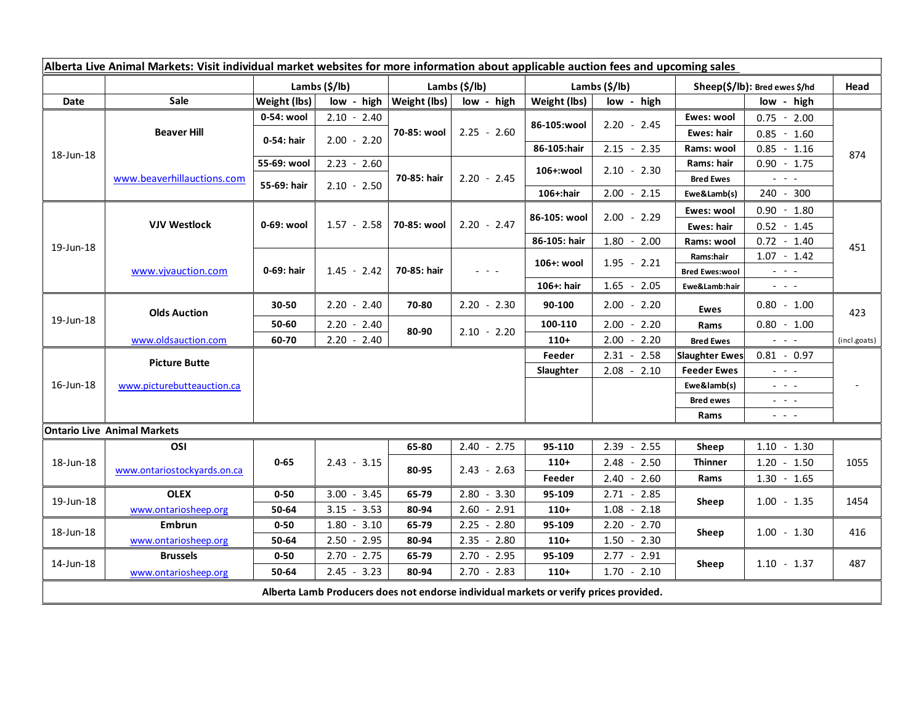| Alberta Live Animal Markets: Visit individual market websites for more information about applicable auction fees and upcoming sales |                                    |                        |               |                           |               |                           |                 |                                 |                                                                                                                        |              |
|-------------------------------------------------------------------------------------------------------------------------------------|------------------------------------|------------------------|---------------|---------------------------|---------------|---------------------------|-----------------|---------------------------------|------------------------------------------------------------------------------------------------------------------------|--------------|
|                                                                                                                                     |                                    | Lambs $(\frac{5}{lb})$ |               | Lambs $(\frac{2}{3})$ lb) |               | Lambs $(\frac{2}{3})$ lb) |                 | $Sheep(S/Ib)$ : Bred ewes \$/hd |                                                                                                                        | Head         |
| Date                                                                                                                                | <b>Sale</b>                        | Weight (lbs)           | low - high    | Weight (lbs)              | low - high    | Weight (lbs)              | low - high      |                                 | low - high                                                                                                             |              |
| 18-Jun-18                                                                                                                           | <b>Beaver Hill</b>                 | 0-54: wool             | $2.10 - 2.40$ | 70-85: wool               | $2.25 - 2.60$ | 86-105:wool               | $2.20 - 2.45$   | Ewes: wool                      | $0.75 - 2.00$                                                                                                          | 874          |
|                                                                                                                                     |                                    | 0-54: hair             | $2.00 - 2.20$ |                           |               |                           |                 | <b>Ewes: hair</b>               | $0.85 - 1.60$                                                                                                          |              |
|                                                                                                                                     |                                    |                        |               |                           |               | 86-105:hair               | $2.15 - 2.35$   | Rams: wool                      | $0.85 - 1.16$                                                                                                          |              |
|                                                                                                                                     | www.beaverhillauctions.com         | 55-69: wool            | $2.23 - 2.60$ | 70-85: hair               | $2.20 - 2.45$ | 106+:wool                 | $2.10 - 2.30$   | Rams: hair                      | $0.90 - 1.75$                                                                                                          |              |
|                                                                                                                                     |                                    | 55-69: hair            | $2.10 - 2.50$ |                           |               |                           |                 | <b>Bred Ewes</b>                | $\omega_{\rm{eff}} = \omega_{\rm{eff}} - \omega_{\rm{eff}}$                                                            |              |
|                                                                                                                                     |                                    |                        |               |                           |               | 106+:hair                 | $2.00 - 2.15$   | Ewe&Lamb(s)                     | 240 - 300                                                                                                              |              |
| 19-Jun-18                                                                                                                           | <b>VJV Westlock</b>                | 0-69: wool             |               |                           | $2.20 - 2.47$ | 86-105: wool              | $2.00 - 2.29$   | Ewes: wool                      | $0.90 - 1.80$                                                                                                          | 451          |
|                                                                                                                                     |                                    |                        | $1.57 - 2.58$ | 70-85: wool               |               |                           |                 | <b>Ewes: hair</b>               | $0.52 - 1.45$                                                                                                          |              |
|                                                                                                                                     |                                    |                        |               |                           |               | 86-105: hair              | $1.80 - 2.00$   | Rams: wool                      | $0.72 - 1.40$                                                                                                          |              |
|                                                                                                                                     | www.vivauction.com                 | 0-69: hair             |               |                           | $- - -$       | 106+: wool                | $1.95 - 2.21$   | Rams:hair                       | $1.07 - 1.42$                                                                                                          |              |
|                                                                                                                                     |                                    |                        | $1.45 - 2.42$ | 70-85: hair               |               |                           |                 | <b>Bred Ewes:wool</b>           | $\omega_{\rm{eff}}$ and $\omega_{\rm{eff}}$                                                                            |              |
|                                                                                                                                     |                                    |                        |               |                           |               | 106+: hair                | $1.65 - 2.05$   | Ewe&Lamb:hair                   | $\omega_{\rm{eff}}$ and $\omega_{\rm{eff}}$                                                                            |              |
| 19-Jun-18                                                                                                                           | <b>Olds Auction</b>                | 30-50                  | $2.20 - 2.40$ | 70-80                     | $2.20 - 2.30$ | 90-100                    | $2.00 - 2.20$   | <b>Ewes</b>                     | $0.80 - 1.00$                                                                                                          | 423          |
|                                                                                                                                     |                                    | 50-60                  | $2.20 - 2.40$ | 80-90                     | $2.10 - 2.20$ | 100-110                   | $2.00 - 2.20$   | Rams                            | $0.80 - 1.00$                                                                                                          |              |
|                                                                                                                                     | www.oldsauction.com                | 60-70                  | $2.20 - 2.40$ |                           |               | $110+$                    | 2.00<br>$-2.20$ | <b>Bred Ewes</b>                | $\omega_{\rm{c}}$ , $\omega_{\rm{c}}$ , $\omega_{\rm{c}}$                                                              | (incl.goats) |
| 16-Jun-18                                                                                                                           | <b>Picture Butte</b>               |                        |               |                           |               | Feeder                    | $2.31 - 2.58$   | <b>Slaughter Ewes</b>           | $0.81 - 0.97$                                                                                                          |              |
|                                                                                                                                     | www.picturebutteauction.ca         |                        |               |                           |               | Slaughter                 | $2.08 - 2.10$   | <b>Feeder Ewes</b>              | $\omega_{\rm{eff}}$ and $\omega_{\rm{eff}}$                                                                            |              |
|                                                                                                                                     |                                    |                        |               |                           |               |                           |                 | Ewe&lamb(s)                     | $\frac{1}{2} \left( \frac{1}{2} \right) = \frac{1}{2} \left( \frac{1}{2} \right)$                                      |              |
|                                                                                                                                     |                                    |                        |               |                           |               |                           |                 | <b>Bred ewes</b>                | $  -$                                                                                                                  |              |
|                                                                                                                                     |                                    |                        |               |                           |               |                           |                 | Rams                            | $\frac{1}{2} \left( \frac{1}{2} \right) \frac{1}{2} \left( \frac{1}{2} \right) \frac{1}{2} \left( \frac{1}{2} \right)$ |              |
|                                                                                                                                     | <b>Ontario Live Animal Markets</b> |                        |               |                           |               |                           |                 |                                 |                                                                                                                        |              |
| 18-Jun-18                                                                                                                           | OSI                                | $0 - 65$               |               | 65-80                     | $2.40 - 2.75$ | 95-110                    | 2.39<br>$-2.55$ | Sheep                           | $1.10 - 1.30$                                                                                                          | 1055         |
|                                                                                                                                     | www.ontariostockyards.on.ca        |                        | $2.43 - 3.15$ | 80-95                     | $2.43 - 2.63$ | $110+$                    | $2.48 - 2.50$   | <b>Thinner</b>                  | $1.20 - 1.50$                                                                                                          |              |
|                                                                                                                                     |                                    |                        |               |                           |               | Feeder                    | $2.40 - 2.60$   | Rams                            | $1.30 - 1.65$                                                                                                          |              |
| 19-Jun-18                                                                                                                           | <b>OLEX</b>                        | $0 - 50$               | $3.00 - 3.45$ | 65-79                     | $2.80 - 3.30$ | 95-109                    | $2.71 - 2.85$   | Sheep                           | $1.00 - 1.35$                                                                                                          | 1454         |
|                                                                                                                                     | www.ontariosheep.org               | 50-64                  | $3.15 - 3.53$ | 80-94                     | $2.60 - 2.91$ | $110+$                    | $1.08 - 2.18$   |                                 |                                                                                                                        |              |
| 18-Jun-18                                                                                                                           | Embrun                             | $0 - 50$               | $1.80 - 3.10$ | 65-79                     | $2.25 - 2.80$ | 95-109                    | $2.20 - 2.70$   | Sheep                           | $1.00 - 1.30$                                                                                                          | 416          |
|                                                                                                                                     | www.ontariosheep.org               | 50-64                  | $2.50 - 2.95$ | 80-94                     | $2.35 - 2.80$ | $110+$                    | 1.50<br>$-2.30$ |                                 |                                                                                                                        |              |
| 14-Jun-18                                                                                                                           | <b>Brussels</b>                    | $0 - 50$               | $2.70 - 2.75$ | 65-79                     | $2.70 - 2.95$ | 95-109                    | $2.77 - 2.91$   | Sheep                           | $1.10 - 1.37$                                                                                                          | 487          |
|                                                                                                                                     | www.ontariosheep.org               | 50-64                  | $2.45 - 3.23$ | 80-94                     | $2.70 - 2.83$ | $110+$                    | $1.70 - 2.10$   |                                 |                                                                                                                        |              |
| Alberta Lamb Producers does not endorse individual markets or verify prices provided.                                               |                                    |                        |               |                           |               |                           |                 |                                 |                                                                                                                        |              |